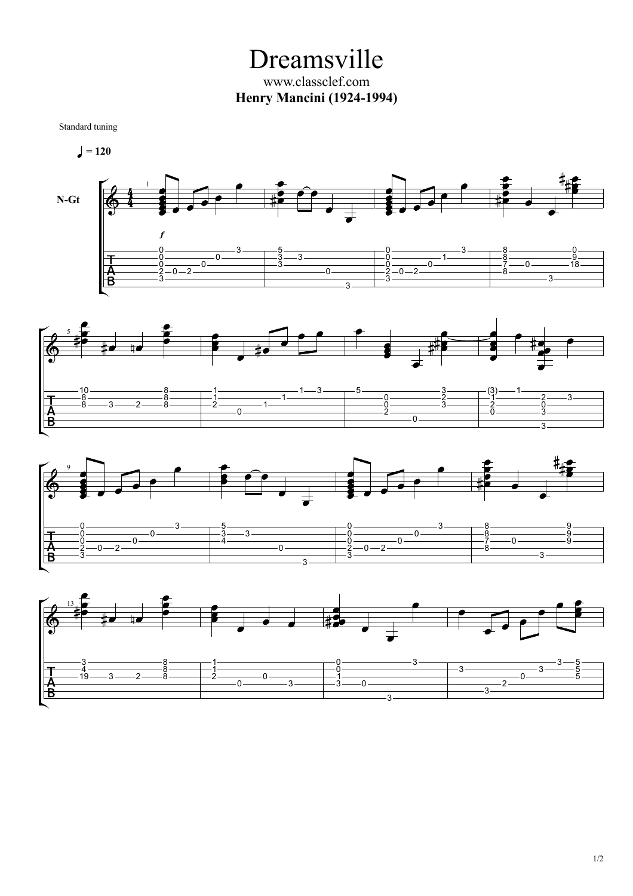Dreamsville www.classclef.com **Henry Mancini (1924-1994)**

Standard tuning